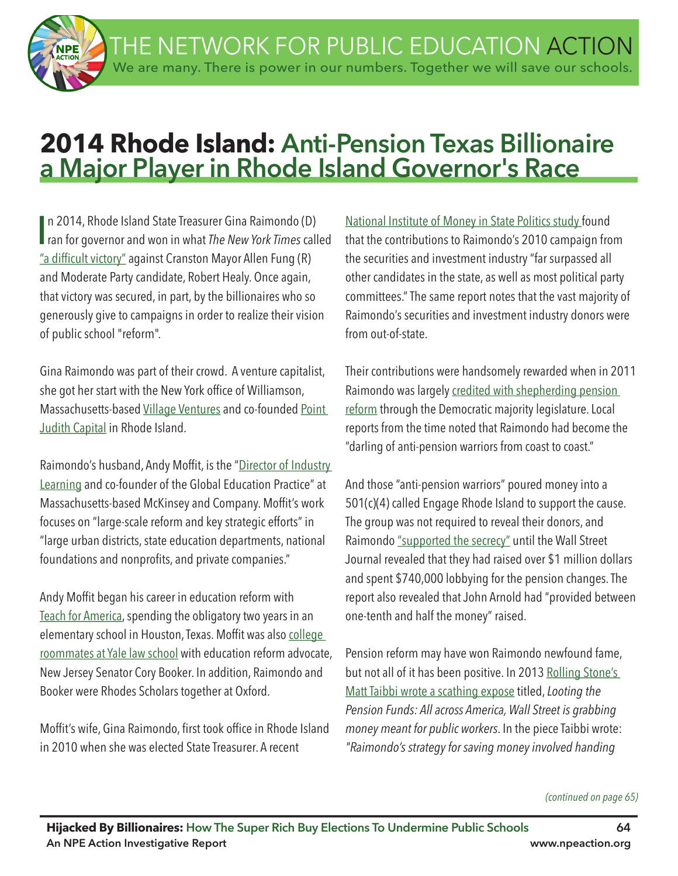THE NETWORK FOR PUBLIC EDUCATION ACTION We are many. There is power in our numbers. Together we will save our schools.

# **2014 Rhode Island: Anti-Pension Texas Billionaire a Major Player in Rhode Island Governor's Race**

In 2014, Rhode Island State Treasurer Gina Raimondo (D)<br>I ran for governor and won in what *The New York Times* called n 2014, Rhode Island State Treasurer Gina Raimondo (D) "a difficult victory" against Cranston Mayor Allen Fung (R) and Moderate Party candidate, Robert Healy. Once again, that victory was secured, in part, by the billionaires who so generously give to campaigns in order to realize their vision of public school "reform".

Gina Raimondo was part of their crowd. A venture capitalist, she got her start with the New York office of Williamson, Massachusetts-based Village Ventures and co-founded Point Judith Capital in Rhode Island.

Raimondo's husband, Andy Moffit, is the "Director of Industry Learning and co-founder of the Global Education Practice" at Massachusetts-based McKinsey and Company. Mofft's work focuses on "large-scale reform and key strategic efforts" in "large urban districts, state education departments, national foundations and nonprofits, and private companies."

Andy Moffit began his career in education reform with Teach for America, spending the obligatory two years in an elementary school in Houston, Texas. Moffit was also college roommates at Yale law school with education reform advocate, New Jersey Senator Cory Booker. In addition, Raimondo and Booker were Rhodes Scholars together at Oxford.

Moffit's wife, Gina Raimondo, first took office in Rhode Island in 2010 when she was elected State Treasurer. A recent

National Institute of Money in State Politics study found that the contributions to Raimondo's 2010 campaign from the securities and investment industry "far surpassed all other candidates in the state, as well as most political party committees." The same report notes that the vast majority of Raimondo's securities and investment industry donors were from out-of-state.

Their contributions were handsomely rewarded when in 2011 Raimondo was largely credited with shepherding pension reform through the Democratic majority legislature. Local reports from the time noted that Raimondo had become the "darling of anti-pension warriors from coast to coast."

And those "anti-pension warriors" poured money into a 501(c)(4) called Engage Rhode Island to support the cause. The group was not required to reveal their donors, and Raimondo "supported the secrecy" until the Wall Street Journal revealed that they had raised over \$1 million dollars and spent \$740,000 lobbying for the pension changes. The report also revealed that John Arnold had "provided between one-tenth and half the money" raised.

Pension reform may have won Raimondo newfound fame, but not all of it has been positive. In 2013 Rolling Stone's Matt Taibbi wrote a scathing expose titled, *Looting the Pension Funds: All across America, Wall Street is grabbing money meant for public workers*. In the piece Taibbi wrote: *"Raimondo's strategy for saving money involved handing* 

#### *(continued on page 65)*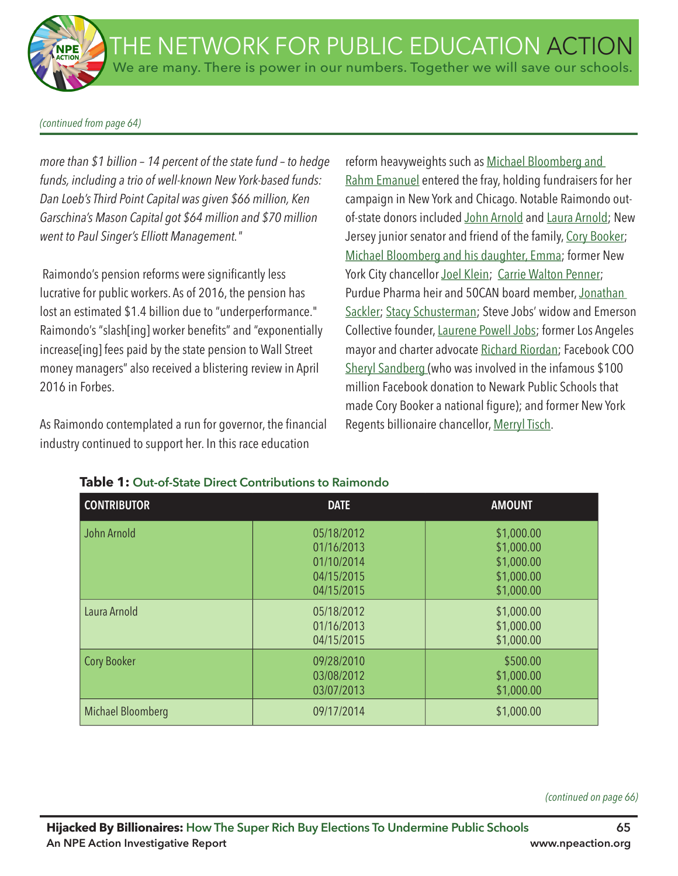*(continued from page 64)*

*more than \$1 billion – 14 percent of the state fund – to hedge funds, including a trio of well-known New York-based funds: Dan Loeb's Third Point Capital was given \$66 million, Ken Garschina's Mason Capital got \$64 million and \$70 million went to Paul Singer's Elliott Management."*

Raimondo's pension reforms were significantly less lucrative for public workers. As of 2016, the pension has lost an estimated \$1.4 billion due to "underperformance." Raimondo's "slash[ing] worker benefits" and "exponentially increase[ing] fees paid by the state pension to Wall Street money managers" also received a blistering review in April 2016 in Forbes.

As Raimondo contemplated a run for governor, the financial industry continued to support her. In this race education

reform heavyweights such as Michael Bloomberg and Rahm Emanuel entered the fray, holding fundraisers for her campaign in New York and Chicago. Notable Raimondo outof-state donors included John Arnold and Laura Arnold; New Jersey junior senator and friend of the family, Cory Booker; Michael Bloomberg and his daughter, Emma; former New York City chancellor Joel Klein; Carrie Walton Penner; Purdue Pharma heir and 50CAN board member, Jonathan Sackler; Stacy Schusterman; Steve Jobs' widow and Emerson Collective founder, Laurene Powell Jobs; former Los Angeles mayor and charter advocate Richard Riordan; Facebook COO Sheryl Sandberg (who was involved in the infamous \$100 million Facebook donation to Newark Public Schools that made Cory Booker a national figure); and former New York Regents billionaire chancellor, Merryl Tisch.

| <b>CONTRIBUTOR</b> | <b>DATE</b>                                                        | <b>AMOUNT</b>                                                      |
|--------------------|--------------------------------------------------------------------|--------------------------------------------------------------------|
| John Arnold        | 05/18/2012<br>01/16/2013<br>01/10/2014<br>04/15/2015<br>04/15/2015 | \$1,000.00<br>\$1,000.00<br>\$1,000.00<br>\$1,000.00<br>\$1,000.00 |
| Laura Arnold       | 05/18/2012<br>01/16/2013<br>04/15/2015                             | \$1,000.00<br>\$1,000.00<br>\$1,000.00                             |
| <b>Cory Booker</b> | 09/28/2010<br>03/08/2012<br>03/07/2013                             | \$500.00<br>\$1,000.00<br>\$1,000.00                               |
| Michael Bloomberg  | 09/17/2014                                                         | \$1,000.00                                                         |

#### **Table 1: Out-of-State Direct Contributions to Raimondo**

*(continued on page 66)*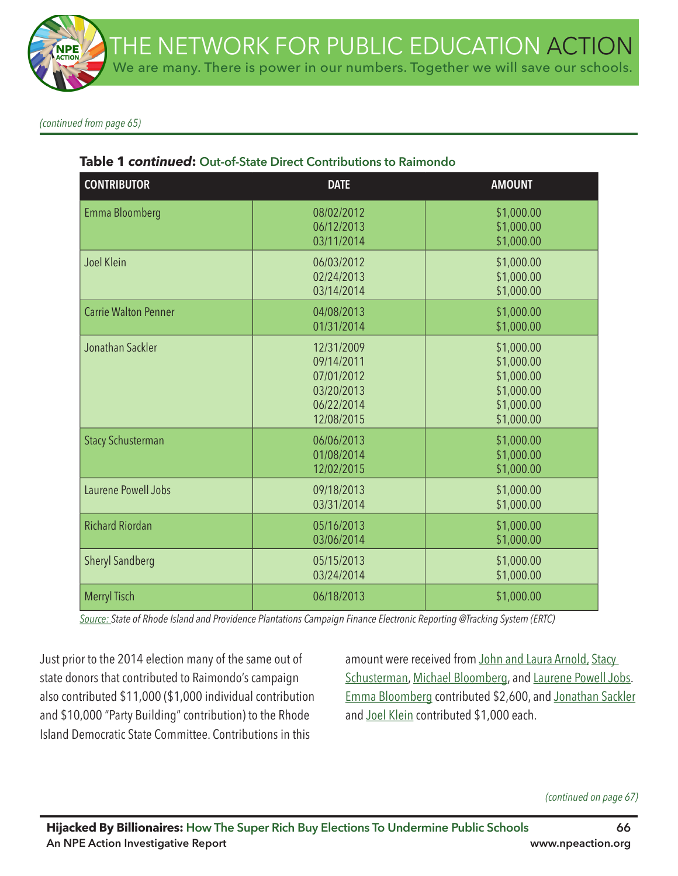*(continued from page 65)*

| <b>CONTRIBUTOR</b>          | <b>DATE</b>                                                                      | <b>AMOUNT</b>                                                                    |
|-----------------------------|----------------------------------------------------------------------------------|----------------------------------------------------------------------------------|
| Emma Bloomberg              | 08/02/2012<br>06/12/2013<br>03/11/2014                                           | \$1,000.00<br>\$1,000.00<br>\$1,000.00                                           |
| Joel Klein                  | 06/03/2012<br>02/24/2013<br>03/14/2014                                           | \$1,000.00<br>\$1,000.00<br>\$1,000.00                                           |
| <b>Carrie Walton Penner</b> | 04/08/2013<br>01/31/2014                                                         | \$1,000.00<br>\$1,000.00                                                         |
| Jonathan Sackler            | 12/31/2009<br>09/14/2011<br>07/01/2012<br>03/20/2013<br>06/22/2014<br>12/08/2015 | \$1,000.00<br>\$1,000.00<br>\$1,000.00<br>\$1,000.00<br>\$1,000.00<br>\$1,000.00 |
| <b>Stacy Schusterman</b>    | 06/06/2013<br>01/08/2014<br>12/02/2015                                           | \$1,000.00<br>\$1,000.00<br>\$1,000.00                                           |
| Laurene Powell Jobs         | 09/18/2013<br>03/31/2014                                                         | \$1,000.00<br>\$1,000.00                                                         |
| <b>Richard Riordan</b>      | 05/16/2013<br>03/06/2014                                                         | \$1,000.00<br>\$1,000.00                                                         |
| <b>Sheryl Sandberg</b>      | 05/15/2013<br>03/24/2014                                                         | \$1,000.00<br>\$1,000.00                                                         |
| <b>Merryl Tisch</b>         | 06/18/2013                                                                       | \$1,000.00                                                                       |

## **Table 1** *continued***: Out-of-State Direct Contributions to Raimondo**

*Source: State of Rhode Island and Providence Plantations Campaign Finance Electronic Reporting @Tracking System (ERTC)*

Just prior to the 2014 election many of the same out of state donors that contributed to Raimondo's campaign also contributed \$11,000 (\$1,000 individual contribution and \$10,000 "Party Building" contribution) to the Rhode Island Democratic State Committee. Contributions in this

amount were received from John and Laura Arnold, Stacy Schusterman, Michael Bloomberg, and Laurene Powell Jobs. Emma Bloomberg contributed \$2,600, and Jonathan Sackler and Joel Klein contributed \$1,000 each.

*(continued on page 67)*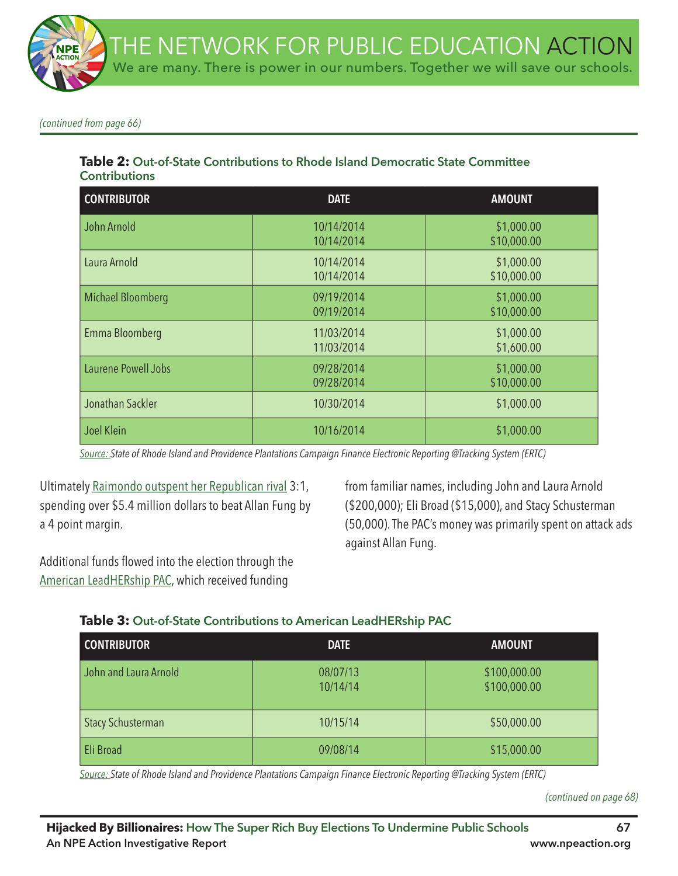*(continued from page 66)*

## **Table 2: Out-of-State Contributions to Rhode Island Democratic State Committee Contributions**

| <b>CONTRIBUTOR</b>  | <b>DATE</b>              | <b>AMOUNT</b>             |
|---------------------|--------------------------|---------------------------|
| John Arnold         | 10/14/2014<br>10/14/2014 | \$1,000.00<br>\$10,000.00 |
| Laura Arnold        | 10/14/2014<br>10/14/2014 | \$1,000.00<br>\$10,000.00 |
| Michael Bloomberg   | 09/19/2014<br>09/19/2014 | \$1,000.00<br>\$10,000.00 |
| Emma Bloomberg      | 11/03/2014<br>11/03/2014 | \$1,000.00<br>\$1,600.00  |
| Laurene Powell Jobs | 09/28/2014<br>09/28/2014 | \$1,000.00<br>\$10,000.00 |
| Jonathan Sackler    | 10/30/2014               | \$1,000.00                |
| Joel Klein          | 10/16/2014               | \$1,000.00                |

*Source: State of Rhode Island and Providence Plantations Campaign Finance Electronic Reporting @Tracking System (ERTC)*

Ultimately Raimondo outspent her Republican rival 3:1, spending over \$5.4 million dollars to beat Allan Fung by a 4 point margin.

from familiar names, including John and Laura Arnold (\$200,000); Eli Broad (\$15,000), and Stacy Schusterman (50,000). The PAC's money was primarily spent on attack ads against Allan Fung.

Additional funds flowed into the election through the American LeadHERship PAC, which received funding

## **Table 3: Out-of-State Contributions to American LeadHERship PAC**

| <b>CONTRIBUTOR</b>       | <b>DATE</b>          | <b>AMOUNT</b>                |
|--------------------------|----------------------|------------------------------|
| John and Laura Arnold    | 08/07/13<br>10/14/14 | \$100,000.00<br>\$100,000.00 |
| <b>Stacy Schusterman</b> | 10/15/14             | \$50,000.00                  |
| Eli Broad                | 09/08/14             | \$15,000.00                  |

*Source: State of Rhode Island and Providence Plantations Campaign Finance Electronic Reporting @Tracking System (ERTC)*

*(continued on page 68)*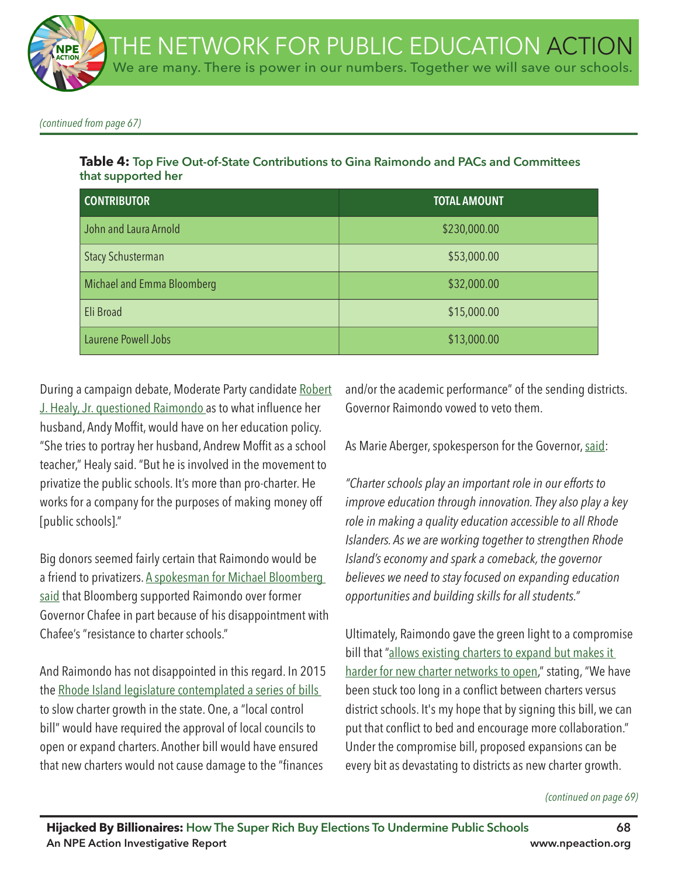*(continued from page 67)*

## **Table 4: Top Five Out-of-State Contributions to Gina Raimondo and PACs and Committees that supported her**

| <b>CONTRIBUTOR</b>                | <b>TOTAL AMOUNT</b> |
|-----------------------------------|---------------------|
| John and Laura Arnold             | \$230,000.00        |
| <b>Stacy Schusterman</b>          | \$53,000.00         |
| <b>Michael and Emma Bloomberg</b> | \$32,000.00         |
| Eli Broad                         | \$15,000.00         |
| Laurene Powell Jobs               | \$13,000.00         |

During a campaign debate, Moderate Party candidate Robert J. Healy, Jr. questioned Raimondo as to what infuence her husband, Andy Moffit, would have on her education policy. "She tries to portray her husband, Andrew Moffit as a school teacher," Healy said. "But he is involved in the movement to privatize the public schools. It's more than pro-charter. He works for a company for the purposes of making money off [public schools]."

Big donors seemed fairly certain that Raimondo would be a friend to privatizers. A spokesman for Michael Bloomberg said that Bloomberg supported Raimondo over former Governor Chafee in part because of his disappointment with Chafee's "resistance to charter schools."

And Raimondo has not disappointed in this regard. In 2015 the Rhode Island legislature contemplated a series of bills to slow charter growth in the state. One, a "local control bill" would have required the approval of local councils to open or expand charters. Another bill would have ensured that new charters would not cause damage to the "finances

and/or the academic performance" of the sending districts. Governor Raimondo vowed to veto them.

As Marie Aberger, spokesperson for the Governor, said:

*"Charter schools play an important role in our efforts to improve education through innovation. They also play a key role in making a quality education accessible to all Rhode Islanders. As we are working together to strengthen Rhode Island's economy and spark a comeback, the governor believes we need to stay focused on expanding education opportunities and building skills for all students."*

Ultimately, Raimondo gave the green light to a compromise bill that "allows existing charters to expand but makes it harder for new charter networks to open," stating, "We have been stuck too long in a confict between charters versus district schools. It's my hope that by signing this bill, we can put that conflict to bed and encourage more collaboration." Under the compromise bill, proposed expansions can be every bit as devastating to districts as new charter growth.

#### *(continued on page 69)*